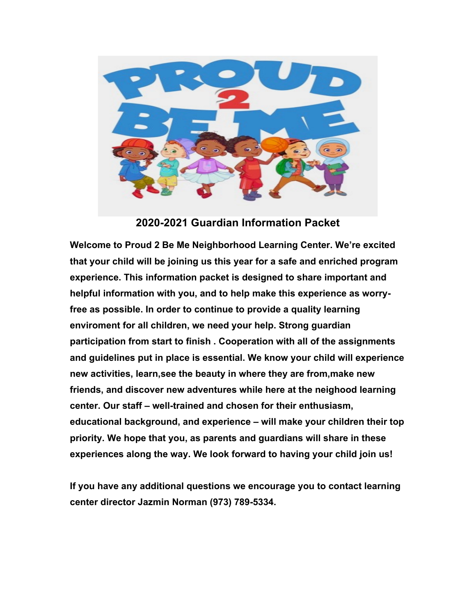

**2020-2021 Guardian Information Packet** 

**Welcome to Proud 2 Be Me Neighborhood Learning Center. We're excited that your child will be joining us this year for a safe and enriched program experience. This information packet is designed to share important and helpful information with you, and to help make this experience as worryfree as possible. In order to continue to provide a quality learning enviroment for all children, we need your help. Strong guardian participation from start to finish . Cooperation with all of the assignments and guidelines put in place is essential. We know your child will experience new activities, learn,see the beauty in where they are from,make new friends, and discover new adventures while here at the neighood learning center. Our staff – well-trained and chosen for their enthusiasm, educational background, and experience – will make your children their top priority. We hope that you, as parents and guardians will share in these experiences along the way. We look forward to having your child join us!**

**If you have any additional questions we encourage you to contact learning center director Jazmin Norman (973) 789-5334.**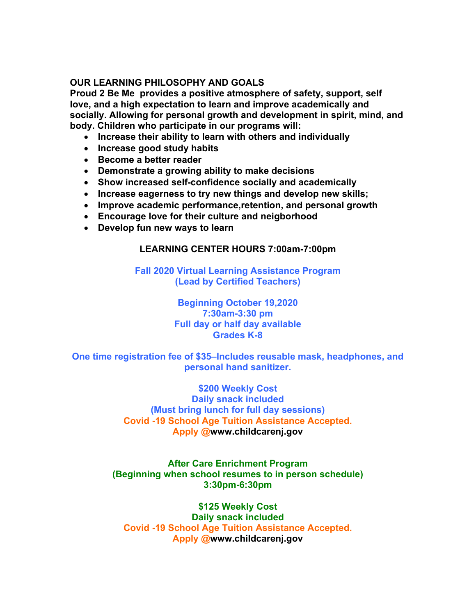### **OUR LEARNING PHILOSOPHY AND GOALS**

**Proud 2 Be Me provides a positive atmosphere of safety, support, self love, and a high expectation to learn and improve academically and socially. Allowing for personal growth and development in spirit, mind, and body. Children who participate in our programs will:** 

- **Increase their ability to learn with others and individually**
- **Increase good study habits**
- **Become a better reader**
- **Demonstrate a growing ability to make decisions**
- **Show increased self-confidence socially and academically**
- **Increase eagerness to try new things and develop new skills;**
- **Improve academic performance,retention, and personal growth**
- **Encourage love for their culture and neigborhood**
- **Develop fun new ways to learn**

#### **LEARNING CENTER HOURS 7:00am-7:00pm**

**Fall 2020 Virtual Learning Assistance Program (Lead by Certified Teachers)**

> **Beginning October 19,2020 7:30am-3:30 pm Full day or half day available Grades K-8**

**One time registration fee of \$35–Includes reusable mask, headphones, and personal hand sanitizer.**

> **\$200 Weekly Cost Daily snack included (Must bring lunch for full day sessions) Covid -19 School Age Tuition Assistance Accepted. Apply @www.childcarenj.gov**

**After Care Enrichment Program (Beginning when school resumes to in person schedule) 3:30pm-6:30pm**

**\$125 Weekly Cost Daily snack included Covid -19 School Age Tuition Assistance Accepted. Apply @www.childcarenj.gov**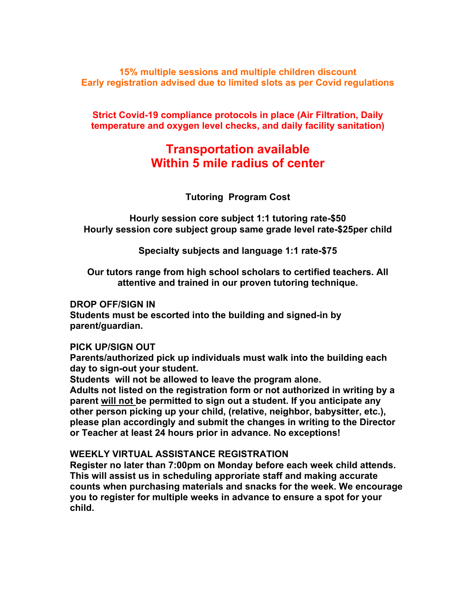**15% multiple sessions and multiple children discount Early registration advised due to limited slots as per Covid regulations**

**Strict Covid-19 compliance protocols in place (Air Filtration, Daily temperature and oxygen level checks, and daily facility sanitation)**

# **Transportation available Within 5 mile radius of center**

**Tutoring Program Cost**

**Hourly session core subject 1:1 tutoring rate-\$50 Hourly session core subject group same grade level rate-\$25per child**

**Specialty subjects and language 1:1 rate-\$75**

**Our tutors range from high school scholars to certified teachers. All attentive and trained in our proven tutoring technique.**

#### **DROP OFF/SIGN IN**

**Students must be escorted into the building and signed-in by parent/guardian.** 

#### **PICK UP/SIGN OUT**

**Parents/authorized pick up individuals must walk into the building each day to sign-out your student.** 

**Students will not be allowed to leave the program alone. Adults not listed on the registration form or not authorized in writing by a parent will not be permitted to sign out a student. If you anticipate any other person picking up your child, (relative, neighbor, babysitter, etc.), please plan accordingly and submit the changes in writing to the Director or Teacher at least 24 hours prior in advance. No exceptions!** 

#### **WEEKLY VIRTUAL ASSISTANCE REGISTRATION**

**Register no later than 7:00pm on Monday before each week child attends. This will assist us in scheduling approriate staff and making accurate counts when purchasing materials and snacks for the week. We encourage you to register for multiple weeks in advance to ensure a spot for your child.**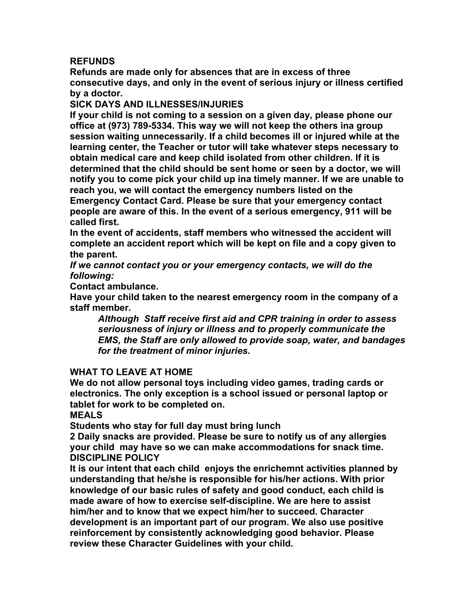#### **REFUNDS**

**Refunds are made only for absences that are in excess of three consecutive days, and only in the event of serious injury or illness certified by a doctor.** 

#### **SICK DAYS AND ILLNESSES/INJURIES**

**If your child is not coming to a session on a given day, please phone our office at (973) 789-5334. This way we will not keep the others ina group session waiting unnecessarily. If a child becomes ill or injured while at the learning center, the Teacher or tutor will take whatever steps necessary to obtain medical care and keep child isolated from other children. If it is determined that the child should be sent home or seen by a doctor, we will notify you to come pick your child up ina timely manner. If we are unable to reach you, we will contact the emergency numbers listed on the Emergency Contact Card. Please be sure that your emergency contact people are aware of this. In the event of a serious emergency, 911 will be called first.** 

**In the event of accidents, staff members who witnessed the accident will complete an accident report which will be kept on file and a copy given to the parent.** 

*If we cannot contact you or your emergency contacts, we will do the following:* 

**Contact ambulance.** 

**Have your child taken to the nearest emergency room in the company of a staff member.** 

*Although Staff receive first aid and CPR training in order to assess seriousness of injury or illness and to properly communicate the EMS, the Staff are only allowed to provide soap, water, and bandages for the treatment of minor injuries.* 

#### **WHAT TO LEAVE AT HOME**

**We do not allow personal toys including video games, trading cards or electronics. The only exception is a school issued or personal laptop or tablet for work to be completed on.**

**MEALS** 

**Students who stay for full day must bring lunch**

**2 Daily snacks are provided. Please be sure to notify us of any allergies your child may have so we can make accommodations for snack time. DISCIPLINE POLICY** 

**It is our intent that each child enjoys the enrichemnt activities planned by understanding that he/she is responsible for his/her actions. With prior knowledge of our basic rules of safety and good conduct, each child is made aware of how to exercise self-discipline. We are here to assist him/her and to know that we expect him/her to succeed. Character development is an important part of our program. We also use positive reinforcement by consistently acknowledging good behavior. Please review these Character Guidelines with your child.**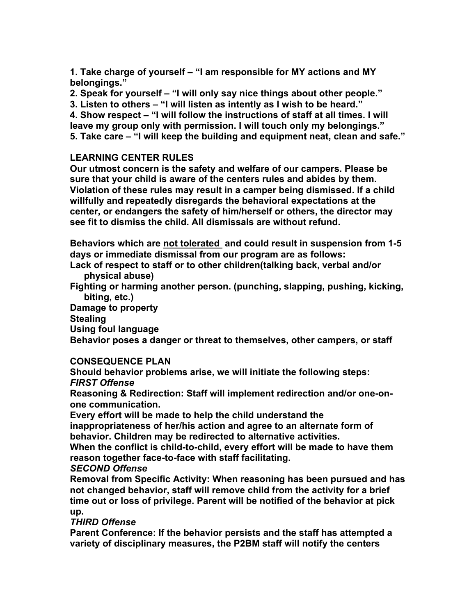**1. Take charge of yourself – "I am responsible for MY actions and MY belongings."** 

**2. Speak for yourself – "I will only say nice things about other people."** 

**3. Listen to others – "I will listen as intently as I wish to be heard."** 

**4. Show respect – "I will follow the instructions of staff at all times. I will leave my group only with permission. I will touch only my belongings." 5. Take care – "I will keep the building and equipment neat, clean and safe."** 

### **LEARNING CENTER RULES**

**Our utmost concern is the safety and welfare of our campers. Please be sure that your child is aware of the centers rules and abides by them. Violation of these rules may result in a camper being dismissed. If a child willfully and repeatedly disregards the behavioral expectations at the center, or endangers the safety of him/herself or others, the director may see fit to dismiss the child. All dismissals are without refund.**

**Behaviors which are not tolerated and could result in suspension from 1-5 days or immediate dismissal from our program are as follows:** 

**Lack of respect to staff or to other children(talking back, verbal and/or physical abuse)** 

**Fighting or harming another person. (punching, slapping, pushing, kicking, biting, etc.)** 

**Damage to property** 

**Stealing** 

**Using foul language** 

**Behavior poses a danger or threat to themselves, other campers, or staff** 

#### **CONSEQUENCE PLAN**

**Should behavior problems arise, we will initiate the following steps:**  *FIRST Offense*

**Reasoning & Redirection: Staff will implement redirection and/or one-onone communication.** 

**Every effort will be made to help the child understand the** 

**inappropriateness of her/his action and agree to an alternate form of behavior. Children may be redirected to alternative activities.** 

**When the conflict is child-to-child, every effort will be made to have them reason together face-to-face with staff facilitating.** 

#### *SECOND Offense*

**Removal from Specific Activity: When reasoning has been pursued and has not changed behavior, staff will remove child from the activity for a brief time out or loss of privilege. Parent will be notified of the behavior at pick up.** 

#### *THIRD Offense*

**Parent Conference: If the behavior persists and the staff has attempted a variety of disciplinary measures, the P2BM staff will notify the centers**